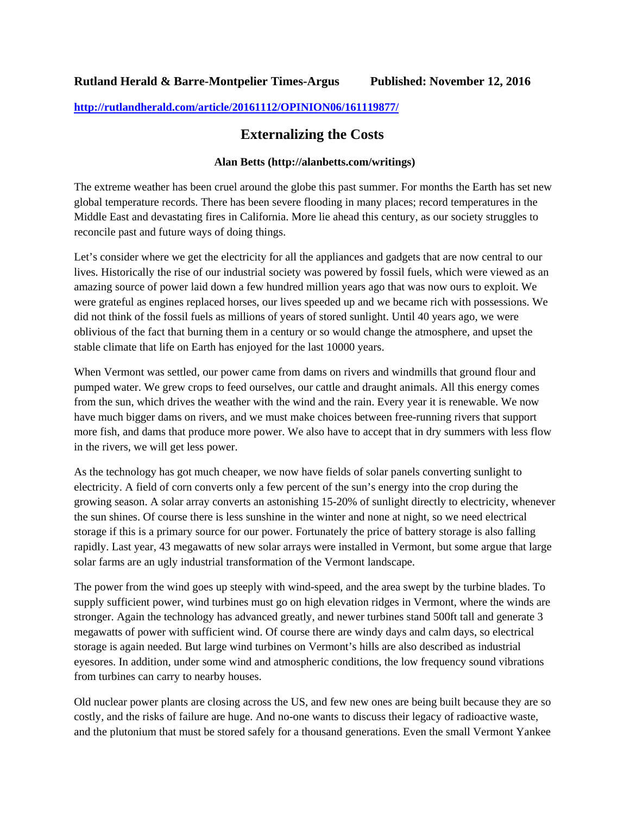## **Rutland Herald & Barre-Montpelier Times-Argus Published: November 12, 2016**

## **http://rutlandherald.com/article/20161112/OPINION06/161119877/**

## **Externalizing the Costs**

## **Alan Betts (http://alanbetts.com/writings)**

The extreme weather has been cruel around the globe this past summer. For months the Earth has set new global temperature records. There has been severe flooding in many places; record temperatures in the Middle East and devastating fires in California. More lie ahead this century, as our society struggles to reconcile past and future ways of doing things.

Let's consider where we get the electricity for all the appliances and gadgets that are now central to our lives. Historically the rise of our industrial society was powered by fossil fuels, which were viewed as an amazing source of power laid down a few hundred million years ago that was now ours to exploit. We were grateful as engines replaced horses, our lives speeded up and we became rich with possessions. We did not think of the fossil fuels as millions of years of stored sunlight. Until 40 years ago, we were oblivious of the fact that burning them in a century or so would change the atmosphere, and upset the stable climate that life on Earth has enjoyed for the last 10000 years.

When Vermont was settled, our power came from dams on rivers and windmills that ground flour and pumped water. We grew crops to feed ourselves, our cattle and draught animals. All this energy comes from the sun, which drives the weather with the wind and the rain. Every year it is renewable. We now have much bigger dams on rivers, and we must make choices between free-running rivers that support more fish, and dams that produce more power. We also have to accept that in dry summers with less flow in the rivers, we will get less power.

As the technology has got much cheaper, we now have fields of solar panels converting sunlight to electricity. A field of corn converts only a few percent of the sun's energy into the crop during the growing season. A solar array converts an astonishing 15-20% of sunlight directly to electricity, whenever the sun shines. Of course there is less sunshine in the winter and none at night, so we need electrical storage if this is a primary source for our power. Fortunately the price of battery storage is also falling rapidly. Last year, 43 megawatts of new solar arrays were installed in Vermont, but some argue that large solar farms are an ugly industrial transformation of the Vermont landscape.

The power from the wind goes up steeply with wind-speed, and the area swept by the turbine blades. To supply sufficient power, wind turbines must go on high elevation ridges in Vermont, where the winds are stronger. Again the technology has advanced greatly, and newer turbines stand 500ft tall and generate 3 megawatts of power with sufficient wind. Of course there are windy days and calm days, so electrical storage is again needed. But large wind turbines on Vermont's hills are also described as industrial eyesores. In addition, under some wind and atmospheric conditions, the low frequency sound vibrations from turbines can carry to nearby houses.

Old nuclear power plants are closing across the US, and few new ones are being built because they are so costly, and the risks of failure are huge. And no-one wants to discuss their legacy of radioactive waste, and the plutonium that must be stored safely for a thousand generations. Even the small Vermont Yankee